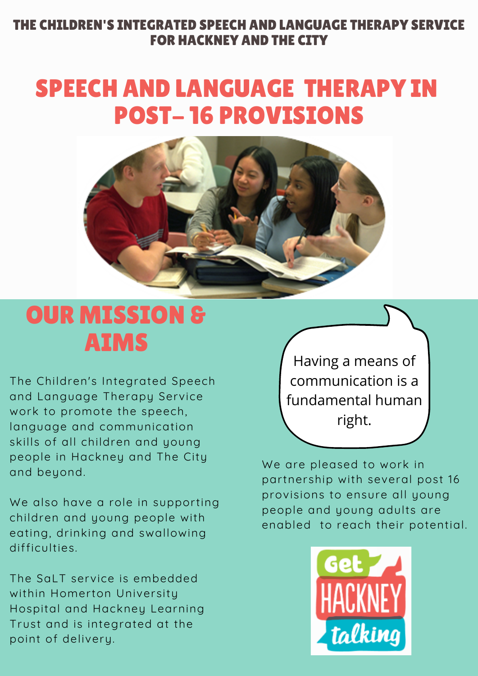### THE CHILDREN'S INTEGRATED SPEECH AND LANGUAGE THERAPY SERVICE FOR HACKNEY AND THE CITY

# SPEECH AND LANGUAGE THERAPY IN POST- 16 PROVISIONS



# **OUR MISSION &** AIMS

The Children's Integrated Speech and Language Therapy Service work to promote the speech, language and communication skills of all children and young people in Hackney and The City and beyond.

We also have a role in supporting children and young people with eating, drinking and swallowing difficulties.

The SaLT service is embedded within Homerton University Hospital and Hackney Learning Trust and is integrated at the point of delivery.

Having a means of communication is a fundamental human right.

We are pleased to work in partnership with several post 16 provisions to ensure all young people and young adults are enabled to reach their potential.

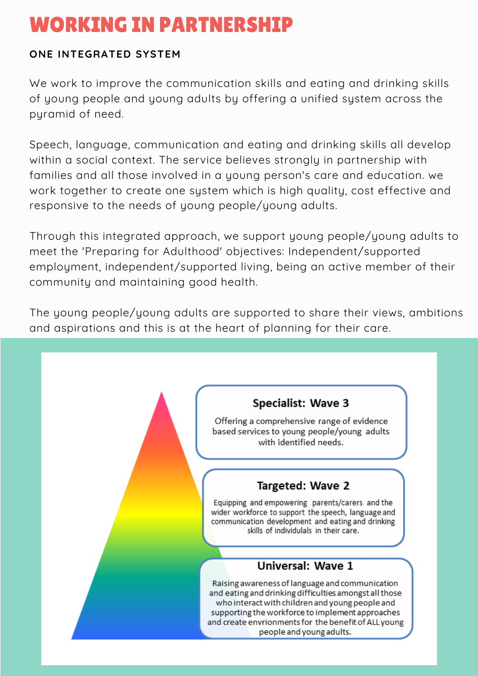## WORKING IN PARTNERSHIP

#### **ONE INTEGRATED SYSTEM**

We work to improve the communication skills and eating and drinking skills of young people and young adults by offering a unified system across the pyramid of need.

Speech, language, communication and eating and drinking skills all develop within a social context. The service believes strongly in partnership with families and all those involved in a young person's care and education. we work together to create one system which is high quality, cost effective and responsive to the needs of young people/young adults.

Through this integrated approach, we support young people/young adults to meet the 'Preparing for Adulthood' objectives: Independent/supported employment, independent/supported living, being an active member of their community and maintaining good health.

The young people/young adults are supported to share their views, ambitions and aspirations and this is at the heart of planning for their care.

### **Specialist: Wave 3**

Offering a comprehensive range of evidence based services to young people/young adults with identified needs.

### **Targeted: Wave 2**

Equipping and empowering parents/carers and the<br>wider workforce to support the speech, language and communication development and eating and drinking skills of individulals in their care.

### Universal: Wave 1

Raising awareness of language and communication and eating and drinking difficulties amongst all those who interact with children and young people and supporting the workforce to implement approaches and create envrionments for the benefit of ALL young people and young adults.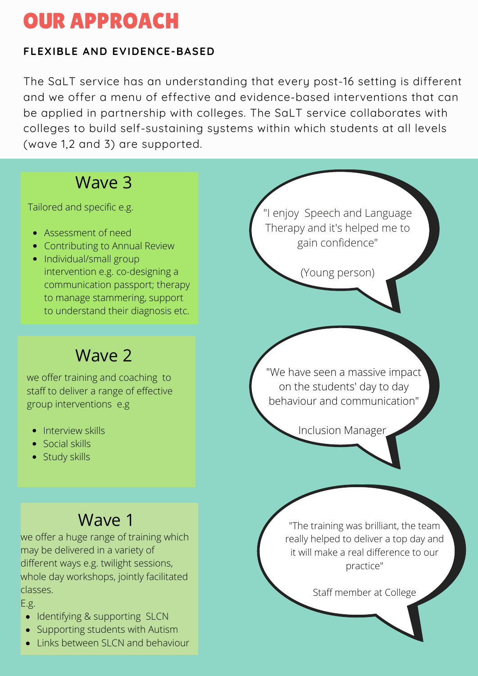## OUR APPROACH

### **FLEXIBLE AND EVIDENCE-BASED**

The SaLT service has an understanding that every post-16 setting is different and we offer a menu of effective and evidence-based interventions that can be applied in partnership with colleges. The SaLT service collaborates with colleges to build self-sustaining systems within which students at all levels (wave 1,2 and 3) are supported.

### Wave 3

Tailored and specific e.g.

- Assessment of need
- Contributing to Annual Review
- Individual/small group intervention e.g. co-designing a communication passport; therapy to manage stammering, support to understand their diagnosis etc.

### Waye 2

we offer training and coaching to staff to deliver a range of effective group interventions e.g

- Interview skills
- Social skills
- Study skills

### Wave 1

we offer a huge range of training which may be delivered in a variety of different ways e.g. twilight sessions, whole day workshops, jointly facilitated classes.

#### E.g.

- Identifying & supporting SLCN
- Supporting students with Autism
- Links between SLCN and behaviour

"The training was brilliant, the team really helped to deliver a top day and it will make a real difference to our practice"

"I enjoy Speech and Language Therapy and it's helped me to gain confidence"

(Young person)

"We have seen a massive impact on the students' day to day behaviour and communication"

Inclusion Manager

Staff member at College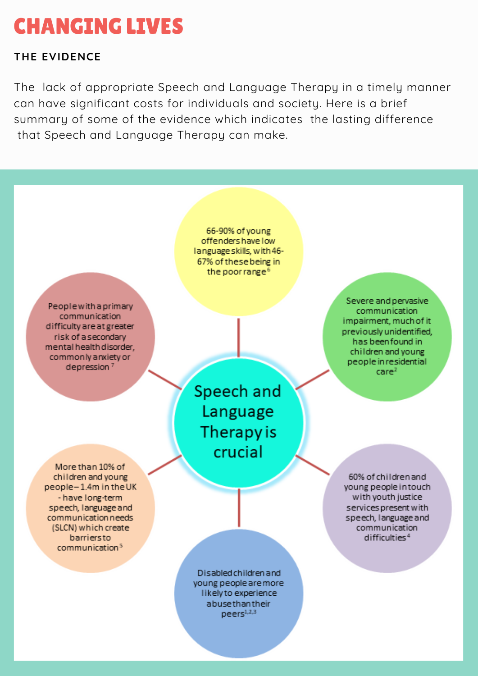## CHANGING LIVES

#### **THE EVIDENCE**

The lack of appropriate Speech and Language Therapy in a timely manner can have significant costs for individuals and society. Here is a brief summary of some of the evidence which indicates the lasting difference that Speech and Language Therapy can make.